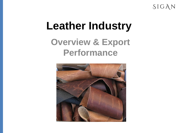SIGAN

## **Leather Industry Overview & Export Performance**

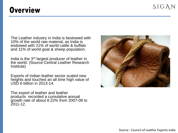## **Overview**

The Leather industry in India is bestowed with 10% of the world raw material, as India is endowed with 21% of world cattle & buffalo and 11% of world goat & sheep population.

India is the 3rd largest producer of leather in the world. (Source:Central Leather Research Institute)

Exports of Indian leather sector scaled new heights and touched an all time high value of USD 6 billion in 2013-14.

The export of leather and leather products recorded a cumulative annual growth rate of about 8.22% from 2007-08 to  $2011 - 12$ .

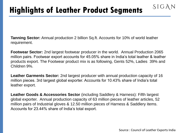**Tanning Sector:** Annual production 2 billion Sq.ft. Accounts for 10% of world leather requirement.

**Footwear Sector:** 2nd largest footwear producer in the world. Annual Production 2065 million pairs. Footwear export accounts for 45.05% share in India's total leather & leather products export. The Footwear product mix is as following, Gents 52%, Ladies 39% and Children 9%.

**Leather Garments Sector:** 2nd largest producer with annual production capacity of 16 million pieces. 3rd largest global exporter. Accounts for 10.43% share of India's total leather export.

**Leather Goods & Accessories Sector** (including Saddlery & Harness): Fifth largest global exporter. Annual production capacity of 63 million pieces of leather articles, 52 million pairs of Industrial gloves & 12.50 million pieces of Harness & Saddlery items. Accounts for 23.44% share of India's total export.

SIGAN